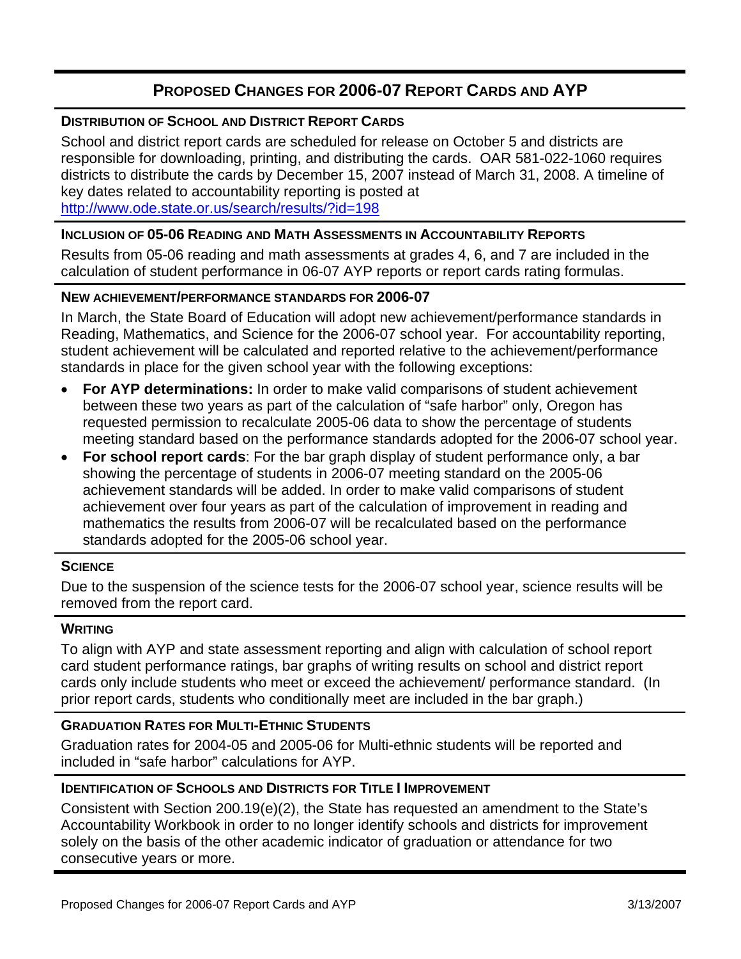# **PROPOSED CHANGES FOR 2006-07 REPORT CARDS AND AYP**

### **DISTRIBUTION OF SCHOOL AND DISTRICT REPORT CARDS**

School and district report cards are scheduled for release on October 5 and districts are responsible for downloading, printing, and distributing the cards. OAR 581-022-1060 requires districts to distribute the cards by December 15, 2007 instead of March 31, 2008. A timeline of key dates related to accountability reporting is posted at http://www.ode.state.or.us/search/results/?id=198

### **INCLUSION OF 05-06 READING AND MATH ASSESSMENTS IN ACCOUNTABILITY REPORTS**

Results from 05-06 reading and math assessments at grades 4, 6, and 7 are included in the calculation of student performance in 06-07 AYP reports or report cards rating formulas.

### **NEW ACHIEVEMENT/PERFORMANCE STANDARDS FOR 2006-07**

In March, the State Board of Education will adopt new achievement/performance standards in Reading, Mathematics, and Science for the 2006-07 school year. For accountability reporting, student achievement will be calculated and reported relative to the achievement/performance standards in place for the given school year with the following exceptions:

- **For AYP determinations:** In order to make valid comparisons of student achievement between these two years as part of the calculation of "safe harbor" only, Oregon has requested permission to recalculate 2005-06 data to show the percentage of students meeting standard based on the performance standards adopted for the 2006-07 school year.
- **For school report cards**: For the bar graph display of student performance only, a bar showing the percentage of students in 2006-07 meeting standard on the 2005-06 achievement standards will be added. In order to make valid comparisons of student achievement over four years as part of the calculation of improvement in reading and mathematics the results from 2006-07 will be recalculated based on the performance standards adopted for the 2005-06 school year.

### **SCIENCE**

Due to the suspension of the science tests for the 2006-07 school year, science results will be removed from the report card.

# **WRITING**

To align with AYP and state assessment reporting and align with calculation of school report card student performance ratings, bar graphs of writing results on school and district report cards only include students who meet or exceed the achievement/ performance standard. (In prior report cards, students who conditionally meet are included in the bar graph.)

# **GRADUATION RATES FOR MULTI-ETHNIC STUDENTS**

Graduation rates for 2004-05 and 2005-06 for Multi-ethnic students will be reported and included in "safe harbor" calculations for AYP.

# **IDENTIFICATION OF SCHOOLS AND DISTRICTS FOR TITLE I IMPROVEMENT**

Consistent with Section 200.19(e)(2), the State has requested an amendment to the State's Accountability Workbook in order to no longer identify schools and districts for improvement solely on the basis of the other academic indicator of graduation or attendance for two consecutive years or more.